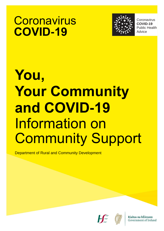# **Coronavirus COVID-19**



Public Health Coronavirus **COVID-19** Public Health **Advice** 

# **You, Your Community and COVID-19** Information on Community Support

Department of Rural and Community Development



Rialtas na hÉireann Government of Ireland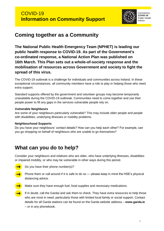

**Coronavirus COVID-19** Public Health Advice

# **Coming together as a Community**

**The National Public Health Emergency Team (NPHET) is leading our public health response to COVID-19. As part of the Government's co-ordinated response, a National Action Plan was published on 16th March. This Plan sets out a whole-of-society response and the mobilisation of resources across Government and society to fight the spread of this virus.**

The COVID-19 outbreak is a challenge for individuals and communities across Ireland. In these exceptional circumstances, all community members have a role to play in helping those who need extra support.

Standard supports offered by the government and volunteer groups may become temporarily unavailable during the COVID-19 outbreak. Communities need to come together and use their people power to fill any gaps in the services vulnerable people rely on.

#### **Vulnerable Neighbours**

Are some of your neighbours particularly vulnerable? This may include older people and people with disabilities, underlying illnesses or mobility problems.

#### **Neighbourhood Supports**

Do you have your neighbours' contact details? How can you help each other? For example, can you go shopping on behalf of neighbours who are unable to go themselves?

# **What can you do to help?**

Consider your neighbours and relatives who are older, who have underlying illnesses, disabilities or impaired mobility, or who may be vulnerable in other ways during this period.

- Do you have their phone number(s)?
- Phone them or call around if it is safe to do so please keep in mind the HSE's physical distancing advice.
- Make sure they have enough fuel, food supplies and necessary medications.
	- If in doubt, call the Gardaí and ask them to check. They have extra resources to help those who are most in need, particularly those with limited local family or social support. Contact details for all Garda stations can be found on the Garda website address – **www.garda.ie** – or in any phonebook.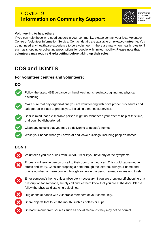### COVID-19 **Information on Community Support**



**Coronavirus COVID-19** Public Health Advice

#### **Volunteering to help others**

If you can help those who need support in your community, please contact your local Volunteer Centre or Volunteer Information Service. Contact details are available on **www.volunteer.ie.** You do not need any healthcare experience to be a volunteer — there are many non-health roles to fill, such as shopping or collecting prescriptions for people with limited mobility**. Please note that volunteers may require Garda vetting before taking up their roles.**

# **DOS and DON'TS**

#### **For volunteer centres and volunteers:**

#### **DO**



Follow the latest HSE guidance on hand washing, sneezing/coughing and physical distancing.



Make sure that any organisations you are volunteering with have proper procedures and safeguards in place to protect you, including a named supervisor.



Bear in mind that a vulnerable person might not want/need your offer of help at this time, and don't be disheartened.



Clean any objects that you may be delivering to people's homes.



#### **DON'T**



Volunteer if you are at risk from COVID-19 or if you have any of the symptoms.



Phone a vulnerable person or call to their door unannounced. This could cause undue stress and worry. Consider dropping a note through the letterbox with your name and phone number, or make contact through someone the person already knows and trusts.



Enter someone's home unless absolutely necessary. If you are dropping off shopping or a prescription for someone, simply call and let them know that you are at the door. Please follow the physical distancing quidelines.



Hug or shake hands with vulnerable members of your community.



Spread rumours from sources such as social media, as they may not be correct.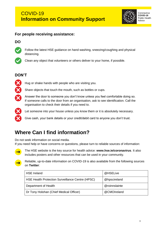

**Coronavirus COVID-19** Public Health Advice

#### **For people receiving assistance:**

#### **DO**



Follow the latest HSE guidance on hand washing, sneezing/coughing and physical distancing.



Clean any object that volunteers or others deliver to your home, if possible.

#### **DON'T**



Hug or shake hands with people who are visiting you.

Share objects that touch the mouth, such as bottles or cups.

Answer the door to someone you don't know unless you feel comfortable doing so. If someone calls to the door from an organisation, ask to see identification. Call the organisation to check their details if you need to.



Let someone into your house unless you know them or it is absolutely necessary.

Give cash, your bank details or your credit/debit card to anyone you don't trust.

# **Where Can I find information?**

Do not seek information on social media.

If you need help or have concerns or questions, please turn to reliable sources of information:



The HSE website is the key source for health advice: **www.hse.ie/coronavirus**. It also includes posters and other resources that can be used in your community.



Reliable, up-to-date information on COVID-19 is also available from the following sources on **Twitter**:

| <b>HSE Ireland</b>                               | @HSELive      |
|--------------------------------------------------|---------------|
| HSE Health Protection Surveillance Centre (HPSC) | @hpscireland  |
| Department of Health                             | @roinnslainte |
| Dr Tony Holohan (Chief Medical Officer)          | @CMOIreland   |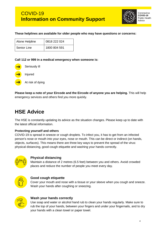

#### **These helplines are available for older people who may have questions or concerns:**

| Alone Helpline | 0818 222 024 |
|----------------|--------------|
| Senior Line    | 1800 804 591 |

**Call 112 or 999 in a medical emergency when someone is:**



At risk of dying

**Please keep a note of your Eircode and the Eircode of anyone you are helping.** This will help emergency services and others find you more quickly.

# **HSE Advice**

The HSE is constantly updating its advice as the situation changes. Please keep up to date with the latest official information.

#### **Protecting yourself and others**

COVID-19 is spread in sneeze or cough droplets. To infect you, it has to get from an infected person's nose or mouth into your eyes, nose or mouth. This can be direct or indirect (on hands, objects, surfaces). This means there are three key ways to prevent the spread of the virus: physical distancing, good cough etiquette and washing your hands correctly.



#### **Physical distancing**

Maintain a distance of 2 metres (6.5 feet) between you and others. Avoid crowded places and reduce the number of people you meet every day.



#### **Good cough etiquette**

Cover your mouth and nose with a tissue or your sleeve when you cough and sneeze. Wash your hands after coughing or sneezing.



#### **Wash your hands correctly**

Use soap and water or alcohol hand rub to clean your hands regularly. Make sure to rub the top of your hands, between your fingers and under your fingernails, and to dry your hands with a clean towel or paper towel.